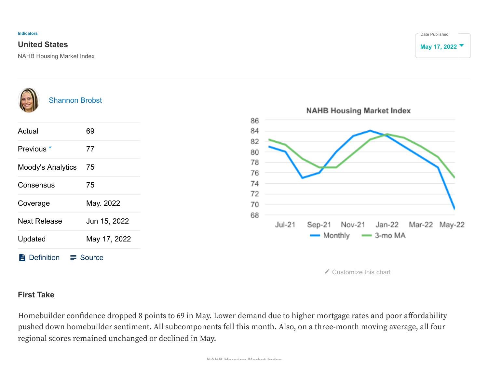## **United States May 17, 2022**

NAHB Housing Market Index





## **First Take**

Homebuilder confidence dropped 8 points to 69 in May. Lower demand due to higher mortgage rates and poor affordability pushed down homebuilder sentiment. All subcomponents fell this month. Also, on a three-month moving average, all four regional scores remained unchanged or declined in May.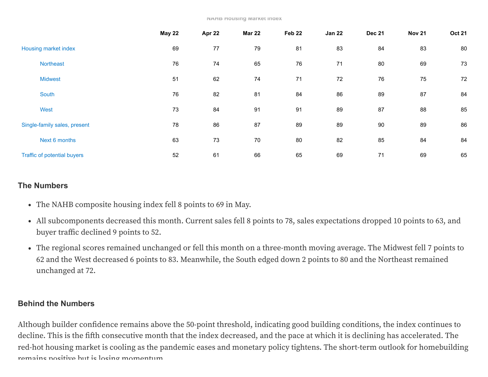|                              | <b>May 22</b> | Apr 22 | <b>Mar 22</b> | Feb 22 | <b>Jan 22</b> | <b>Dec 21</b> | <b>Nov 21</b> | <b>Oct 21</b> |
|------------------------------|---------------|--------|---------------|--------|---------------|---------------|---------------|---------------|
| Housing market index         | 69            | 77     | 79            | 81     | 83            | 84            | 83            | 80            |
| <b>Northeast</b>             | 76            | 74     | 65            | 76     | 71            | 80            | 69            | 73            |
| <b>Midwest</b>               | 51            | 62     | 74            | 71     | 72            | 76            | 75            | 72            |
| South                        | 76            | 82     | 81            | 84     | 86            | 89            | 87            | 84            |
| West                         | 73            | 84     | 91            | 91     | 89            | 87            | 88            | 85            |
| Single-family sales, present | 78            | 86     | 87            | 89     | 89            | 90            | 89            | 86            |
| Next 6 months                | 63            | 73     | 70            | 80     | 82            | 85            | 84            | 84            |
| Traffic of potential buyers  | 52            | 61     | 66            | 65     | 69            | 71            | 69            | 65            |

## **The Numbers**

- The NAHB composite housing index fell 8 points to 69 in May.
- All subcomponents decreased this month. Current sales fell 8 points to 78, sales expectations dropped 10 points to 63, and buyer traffic declined 9 points to 52.
- The regional scores remained unchanged or fell this month on a three-month moving average. The Midwest fell 7 points to 62 and the West decreased 6 points to 83. Meanwhile, the South edged down 2 points to 80 and the Northeast remained unchanged at 72.

## **Behind the Numbers**

Although builder confidence remains above the 50-point threshold, indicating good building conditions, the index continues to decline. This is the fifth consecutive month that the index decreased, and the pace at which it is declining has accelerated. The red-hot housing market is cooling as the pandemic eases and monetary policy tightens. The short-term outlook for homebuilding remains positive but is losing momentum